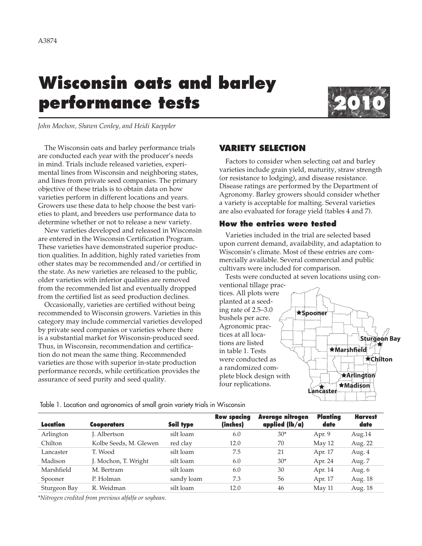# **Wisconsin oats and barley performance tests**



*John Mochon, Shawn Conley, and Heidi Kaeppler*

The Wisconsin oats and barley performance trials are conducted each year with the producer's needs in mind. Trials include released varieties, experimental lines from Wisconsin and neighboring states, and lines from private seed companies. The primary objective of these trials is to obtain data on how varieties perform in different locations and years. Growers use these data to help choose the best varieties to plant, and breeders use performance data to determine whether or not to release a new variety.

New varieties developed and released in Wisconsin are entered in the Wisconsin Certification Program. These varieties have demonstrated superior production qualities. In addition, highly rated varieties from other states may be recommended and/or certified in the state. As new varieties are released to the public, older varieties with inferior qualities are removed from the recommended list and eventually dropped from the certified list as seed production declines.

Occasionally, varieties are certified without being recommended to Wisconsin growers. Varieties in this category may include commercial varieties developed by private seed companies or varieties where there is a substantial market for Wisconsin-produced seed. Thus, in Wisconsin, recommendation and certification do not mean the same thing. Recommended varieties are those with superior in-state production performance records, while certification provides the assurance of seed purity and seed quality.

# **VARIETY SELECTION**

Factors to consider when selecting oat and barley varieties include grain yield, maturity, straw strength (or resistance to lodging), and disease resistance. Disease ratings are performed by the Department of Agronomy. Barley growers should consider whether a variety is acceptable for malting. Several varieties are also evaluated for forage yield (tables 4 and 7).

# **How the entries were tested**

Varieties included in the trial are selected based upon current demand, availability, and adaptation to Wisconsin's climate. Most of these entries are commercially available. Several commercial and public cultivars were included for comparison.

Tests were conducted at seven locations using con-



Table 1. Location and agronomics of small grain variety trials in Wisconsin

| Location     | <b>Cooperators</b>     | Soil type  | <b>Row spacing</b><br>(inches) | Average nitrogen<br>applied $(lb/a)$ | <b>Planting</b><br>date | <b>Harvest</b><br>date |
|--------------|------------------------|------------|--------------------------------|--------------------------------------|-------------------------|------------------------|
| Arlington    | J. Albertson           | silt loam  | 6.0                            | $30*$                                | Apr. 9                  | Aug.14                 |
| Chilton      | Kolbe Seeds, M. Glewen | red clay   | 12.0                           | 70                                   | May 12                  | Aug. 22                |
| Lancaster    | T. Wood                | silt loam  | 7.5                            | 21                                   | Apr. 17                 | Aug. 4                 |
| Madison      | J. Mochon, T. Wright   | silt loam  | 6.0                            | $30*$                                | Apr. 24                 | Aug. 7                 |
| Marshfield   | M. Bertram             | silt loam  | 6.0                            | 30                                   | Apr. 14                 | Aug. 6                 |
| Spooner      | P. Holman              | sandy loam | 7.3                            | 56                                   | Apr. 17                 | Aug. 18                |
| Sturgeon Bay | R. Weidman             | silt loam  | 12.0                           | 46                                   | May 11                  | Aug. 18                |

*\*Nitrogen credited from previous alfalfa or soybean.*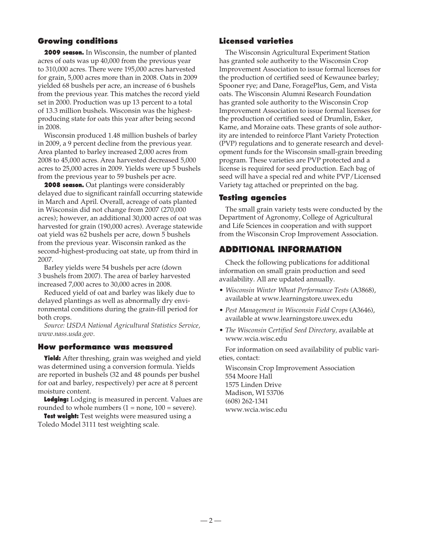# **Growing conditions**

**2009 season.** In Wisconsin, the number of planted acres of oats was up 40,000 from the previous year to 310,000 acres. There were 195,000 acres harvested for grain, 5,000 acres more than in 2008. Oats in 2009 yielded 68 bushels per acre, an increase of 6 bushels from the previous year. This matches the record yield set in 2000. Production was up 13 percent to a total of 13.3 million bushels. Wisconsin was the highestproducing state for oats this year after being second in 2008.

Wisconsin produced 1.48 million bushels of barley in 2009, a 9 percent decline from the previous year. Area planted to barley increased 2,000 acres from 2008 to 45,000 acres. Area harvested decreased 5,000 acres to 25,000 acres in 2009. Yields were up 5 bushels from the previous year to 59 bushels per acre.

**2008 season.** Oat plantings were considerably delayed due to significant rainfall occurring statewide in March and April. Overall, acreage of oats planted in Wisconsin did not change from 2007 (270,000 acres); however, an additional 30,000 acres of oat was harvested for grain (190,000 acres). Average statewide oat yield was 62 bushels per acre, down 5 bushels from the previous year. Wisconsin ranked as the second-highest-producing oat state, up from third in 2007.

Barley yields were 54 bushels per acre (down 3 bushels from 2007). The area of barley harvested increased 7,000 acres to 30,000 acres in 2008.

Reduced yield of oat and barley was likely due to delayed plantings as well as abnormally dry environmental conditions during the grain-fill period for both crops.

*Source: USDA National Agricultural Statistics Service, www.nass.usda.gov.*

#### **How performance was measured**

**Yield:** After threshing, grain was weighed and yield was determined using a conversion formula. Yields are reported in bushels (32 and 48 pounds per bushel for oat and barley, respectively) per acre at 8 percent moisture content.

**Lodging:** Lodging is measured in percent. Values are rounded to whole numbers  $(1 = none, 100 = severe)$ .

**Test weight:** Test weights were measured using a Toledo Model 3111 test weighting scale.

### **Licensed varieties**

The Wisconsin Agricultural Experiment Station has granted sole authority to the Wisconsin Crop Improvement Association to issue formal licenses for the production of certified seed of Kewaunee barley; Spooner rye; and Dane, ForagePlus, Gem, and Vista oats. The Wisconsin Alumni Research Foundation has granted sole authority to the Wisconsin Crop Improvement Association to issue formal licenses for the production of certified seed of Drumlin, Esker, Kame, and Moraine oats. These grants of sole authority are intended to reinforce Plant Variety Protection (PVP) regulations and to generate research and development funds for the Wisconsin small-grain breeding program. These varieties are PVP protected and a license is required for seed production. Each bag of seed will have a special red and white PVP/Licensed Variety tag attached or preprinted on the bag.

#### **Testing agencies**

The small grain variety tests were conducted by the Department of Agronomy, College of Agricultural and Life Sciences in cooperation and with support from the Wisconsin Crop Improvement Association.

# **ADDITIONAL INFORMATION**

Check the following publications for additional information on small grain production and seed availability. All are updated annually.

- • *Wisconsin Winter Wheat Performance Tests* (A3868), available at www.learningstore.uwex.edu
- • *Pest Management in Wisconsin Field Crops* (A3646), available at www.learningstore.uwex.edu
- • *The Wisconsin Certified Seed Directory,* available at www.wcia.wisc.edu

For information on seed availability of public varieties, contact:

Wisconsin Crop Improvement Association 554 Moore Hall 1575 Linden Drive Madison, WI 53706 (608) 262-1341 www.wcia.wisc.edu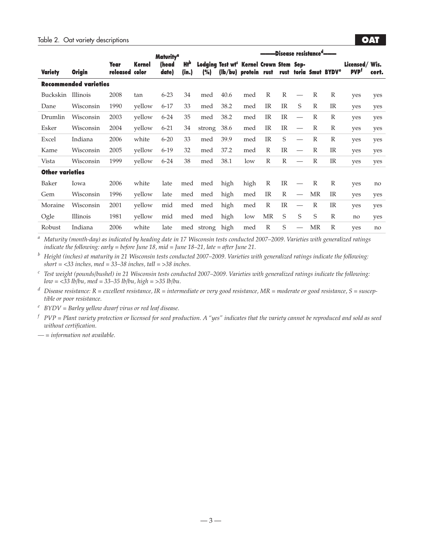|                        |                              |                        |        | <b>Maturity<sup>a</sup></b> |              | -Disease resistance <sup>a</sup> ——— |                                                                             |      |              |              |                          |              |                                   |                                          |       |
|------------------------|------------------------------|------------------------|--------|-----------------------------|--------------|--------------------------------------|-----------------------------------------------------------------------------|------|--------------|--------------|--------------------------|--------------|-----------------------------------|------------------------------------------|-------|
| <b>Variety</b>         | <b>Origin</b>                | Year<br>released color | Kernel | (head<br>date)              | Hłp<br>(in.) | (%)                                  | Lodging Test wt <sup>c</sup> Kernel Crown Stem Sep-<br>(lb/bu) protein rust |      |              |              |                          |              | rust toria Smut BYDV <sup>e</sup> | Licensed/Wis.<br><b>PVP</b> <sup>t</sup> | cert. |
|                        | <b>Recommended varieties</b> |                        |        |                             |              |                                      |                                                                             |      |              |              |                          |              |                                   |                                          |       |
| Buckskin               | Illinois                     | 2008                   | tan    | $6 - 23$                    | 34           | med                                  | 40.6                                                                        | med  | R            | $\mathbb{R}$ |                          | R            | R                                 | yes                                      | yes   |
| Dane                   | Wisconsin                    | 1990                   | yellow | $6 - 17$                    | 33           | med                                  | 38.2                                                                        | med  | <b>IR</b>    | IR           | S                        | $\mathbb{R}$ | <b>IR</b>                         | yes                                      | yes   |
| Drumlin                | Wisconsin                    | 2003                   | yellow | $6 - 24$                    | 35           | med                                  | 38.2                                                                        | med  | <b>IR</b>    | <b>IR</b>    |                          | R            | $\mathbb{R}$                      | yes                                      | yes   |
| Esker                  | Wisconsin                    | 2004                   | yellow | $6 - 21$                    | 34           | strong                               | 38.6                                                                        | med  | <b>IR</b>    | IR           | $\overline{\phantom{m}}$ | $\mathbb{R}$ | $\mathbb{R}$                      | yes                                      | yes   |
| Excel                  | Indiana                      | 2006                   | white  | $6 - 20$                    | 33           | med                                  | 39.9                                                                        | med  | <b>IR</b>    | S            |                          | R            | $\mathbb{R}$                      | yes                                      | yes   |
| Kame                   | Wisconsin                    | 2005                   | yellow | $6-19$                      | 32           | med                                  | 37.2                                                                        | med  | R            | IR           |                          | $\mathbb{R}$ | <b>IR</b>                         | yes                                      | yes   |
| Vista                  | Wisconsin                    | 1999                   | yellow | $6 - 24$                    | 38           | med                                  | 38.1                                                                        | low  | $\mathbb{R}$ | $\mathbb{R}$ |                          | $\mathbb{R}$ | <b>IR</b>                         | yes                                      | yes   |
| <b>Other varieties</b> |                              |                        |        |                             |              |                                      |                                                                             |      |              |              |                          |              |                                   |                                          |       |
| Baker                  | Iowa                         | 2006                   | white  | late                        | med          | med                                  | high                                                                        | high | $\mathbb{R}$ | <b>IR</b>    | $\overline{\phantom{0}}$ | R            | $\mathbb{R}$                      | yes                                      | no    |
| Gem                    | Wisconsin                    | 1996                   | yellow | late                        | med          | med                                  | high                                                                        | med  | <b>IR</b>    | $\mathbb{R}$ | $\overline{\phantom{m}}$ | MR           | IR                                | yes                                      | yes   |
| Moraine                | Wisconsin                    | 2001                   | yellow | mid                         | med          | med                                  | high                                                                        | med  | $\mathbb{R}$ | <b>IR</b>    |                          | $\mathbb{R}$ | <b>IR</b>                         | yes                                      | yes   |
| Ogle                   | Illinois                     | 1981                   | yellow | mid                         | med          | med                                  | high                                                                        | low  | <b>MR</b>    | S            | S                        | S            | $\mathbb{R}$                      | no                                       | yes   |
| Robust                 | Indiana                      | 2006                   | white  | late                        |              | med strong                           | high                                                                        | med  | $\mathbb{R}$ | S            |                          | MR           | $\mathbb{R}$                      | yes                                      | no    |

*<sup>a</sup> Maturity (month-day) as indicated by heading date in 17 Wisconsin tests conducted 2007–2009. Varieties with generalized ratings indicate the following: early = before June 18, mid = June 18–21, late = after June 21.*

*<sup>b</sup> Height (inches) at maturity in 21 Wisconsin tests conducted 2007–2009. Varieties with generalized ratings indicate the following: short = <33 inches, med = 33–38 inches, tall = >38 inches.*

*<sup>c</sup> Test weight (pounds/bushel) in 21 Wisconsin tests conducted 2007–2009. Varieties with generalized ratings indicate the following: low = <33 lb/bu, med = 33–35 lb/bu, high = >35 lb/bu.*

*<sup>d</sup> Disease resistance: R = excellent resistance, IR = intermediate or very good resistance, MR = moderate or good resistance, S = susceptible or poor resistance.*

*<sup>e</sup> BYDV = Barley yellow dwarf virus or red leaf disease.*

 $f$   $PVP = Plant$  variety protection or licensed for seed production. A "yes" indicates that the variety cannot be reproduced and sold as seed *without certification.*

*— = information not available.*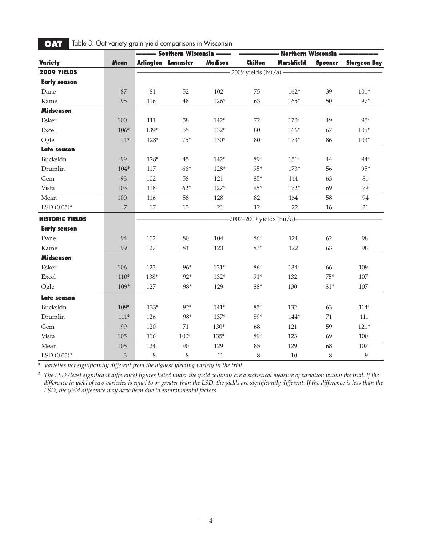|                        |                |        | - Southern Wisconsin --    |                |                             | - Northern Wisconsin - |                |                     |
|------------------------|----------------|--------|----------------------------|----------------|-----------------------------|------------------------|----------------|---------------------|
| <b>Variety</b>         | Mean           |        | <b>Arlington Lancaster</b> | <b>Madison</b> | Chilton                     | <b>Marshfield</b>      | <b>Spooner</b> | <b>Sturgeon Bay</b> |
| 2009 YIELDS            |                |        |                            |                | $-2009$ yields $(bu/a)$ —   |                        |                |                     |
| <b>Early season</b>    |                |        |                            |                |                             |                        |                |                     |
| Dane                   | 87             | 81     | 52                         | 102            | 75                          | $162*$                 | 39             | $101*$              |
| Kame                   | 95             | 116    | 48                         | $126*$         | 63                          | $165*$                 | 50             | 97*                 |
| <b>Midseason</b>       |                |        |                            |                |                             |                        |                |                     |
| Esker                  | 100            | 111    | 58                         | $142*$         | 72                          | $170*$                 | 49             | 95*                 |
| Excel                  | $106*$         | 139*   | 55                         | $132*$         | 80                          | $166*$                 | 67             | $105*$              |
| Ogle                   | $111*$         | $128*$ | $75*$                      | $130*$         | 80                          | $173*$                 | 86             | $103*$              |
| <b>Late season</b>     |                |        |                            |                |                             |                        |                |                     |
| Buckskin               | 99             | 128*   | 45                         | $142*$         | 89*                         | $151*$                 | 44             | 94*                 |
| Drumlin                | $104*$         | 117    | 66*                        | 128*           | 95*                         | $173*$                 | 56             | 95*                 |
| Gem                    | 93             | 102    | 58                         | 121            | $85*$                       | 144                    | 63             | 81                  |
| Vista                  | 103            | 118    | $62*$                      | $127*$         | $95*$                       | $172*$                 | 69             | 79                  |
| Mean                   | 100            | 116    | 58                         | 128            | 82                          | 164                    | 58             | 94                  |
| LSD $(0.05)^a$         | $\overline{7}$ | 17     | 13                         | 21             | 12                          | 22                     | 16             | 21                  |
| <b>HISTORIC YIELDS</b> |                |        |                            |                | $-2007-2009$ yields (bu/a)- |                        |                |                     |
| <b>Early season</b>    |                |        |                            |                |                             |                        |                |                     |
| Dane                   | 94             | 102    | 80                         | 104            | 86*                         | 124                    | 62             | 98                  |
| Kame                   | 99             | 127    | 81                         | 123            | $83*$                       | 122                    | 63             | 98                  |
| <b>Midseason</b>       |                |        |                            |                |                             |                        |                |                     |
| Esker                  | 106            | 123    | 96*                        | $131*$         | 86*                         | 134*                   | 66             | 109                 |
| Excel                  | $110*$         | 138*   | 92*                        | 132*           | 91*                         | 132                    | $75*$          | 107                 |
| Ogle                   | $109*$         | 127    | 98*                        | 129            | $88*$                       | 130                    | 81*            | $107\,$             |
| Late season            |                |        |                            |                |                             |                        |                |                     |
| Buckskin               | 109*           | $133*$ | $92*$                      | $141*$         | $85*$                       | 132                    | 63             | $114*$              |
| Drumlin                | $111*$         | 126    | 98*                        | $137*$         | 89*                         | $144*$                 | 71             | 111                 |
| Gem                    | 99             | 120    | 71                         | $130*$         | 68                          | 121                    | 59             | $121*$              |
| Vista                  | 105            | 116    | $100*$                     | $135*$         | 89*                         | 123                    | 69             | 100                 |
| Mean                   | 105            | 124    | 90                         | 129            | 85                          | 129                    | 68             | $107\,$             |
| LSD $(0.05)^{a}$       | $\mathfrak{Z}$ | $8\,$  | 8                          | 11             | $\,8\,$                     | 10                     | $\,8\,$        | 9                   |

# **OAT** Table 3. Oat variety grain yield comparisons in Wisconsin

*\* Varieties not significantly different from the highest yielding variety in the trial.*

*a The LSD (least significant difference) figures listed under the yield columns are a statistical measure of variation within the trial. If the difference in yield of two varieties is equal to or greater than the LSD, the yields are significantly different. If the difference is less than the LSD, the yield difference may have been due to environmental factors.*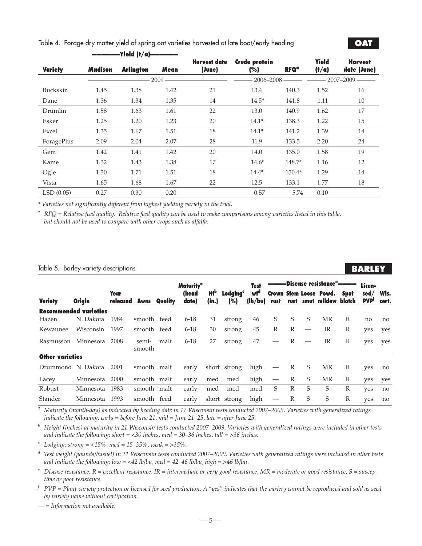|                |                | –Yield (t/a) <del>–––––––</del> |          |                               |                             |                        |                       |                               |
|----------------|----------------|---------------------------------|----------|-------------------------------|-----------------------------|------------------------|-----------------------|-------------------------------|
| <b>Variety</b> | <b>Madison</b> | <b>Arlington</b>                | Mean     | <b>Harvest date</b><br>(June) | <b>Crude protein</b><br>(%) | <b>RFQ<sup>a</sup></b> | <b>Yield</b><br>(t/a) | <b>Harvest</b><br>date (June) |
|                |                |                                 | $2009 -$ |                               | $2006 - 2008$               |                        |                       | $2007 - 2009$ -               |
| Buckskin       | 1.45           | 1.38                            | 1.42     | 21                            | 13.4                        | 140.3                  | 1.52                  | 16                            |
| Dane           | 1.36           | 1.34                            | 1.35     | 14                            | $14.5*$                     | 141.8                  | 1.11                  | 10                            |
| Drumlin        | 1.58           | 1.63                            | 1.61     | 22                            | 13.0                        | 140.9                  | 1.62                  | 17                            |
| Esker          | 1.25           | 1.20                            | 1.23     | 20                            | $14.1*$                     | 138.3                  | 1.22                  | 15                            |
| Excel          | 1.35           | 1.67                            | 1.51     | 18                            | $14.1*$                     | 141.2                  | 1.39                  | 14                            |
| ForagePlus     | 2.09           | 2.04                            | 2.07     | 28                            | 11.9                        | 133.5                  | 2.20                  | 24                            |
| Gem            | 1.42           | 1.41                            | 1.42     | 20                            | 14.0                        | 135.0                  | 1.58                  | 19                            |
| Kame           | 1.32           | 1.43                            | 1.38     | 17                            | $14.6*$                     | 148.7*                 | 1.16                  | 12                            |
| Ogle           | 1.30           | 1.71                            | 1.51     | 18                            | $14.4*$                     | 150.4*                 | 1.29                  | 14                            |
| Vista          | 1.65           | 1.68                            | 1.67     | 22                            | 12.5                        | 133.1                  | 1.77                  | 18                            |
| LSD(0.05)      | 0.27           | 0.30                            | 0.20     |                               | 0.57                        | 5.74                   | 0.10                  |                               |

# Table 4. Forage dry matter yield of spring oat varieties harvested at late boot/early heading

*\* Varieties not significantly different from highest yielding variety in the trial.*

*<sup>a</sup> RFQ = Relative feed quality. Relative feed quality can be used to make comparisons among varieties listed in this table, but should not be used to compare with other crops such as alfalfa.*

#### Table 5. Barley variety descriptions

# **BARLE**

**•oat•**

|                        |                       |                         |                 |         | <b>Maturity<sup>a</sup></b> |                                |                             | <b>Test</b>                | -Disease resistance <sup>e</sup> ———— |      |   |                                                     | Licen-       |                    |               |
|------------------------|-----------------------|-------------------------|-----------------|---------|-----------------------------|--------------------------------|-----------------------------|----------------------------|---------------------------------------|------|---|-----------------------------------------------------|--------------|--------------------|---------------|
| <b>Variety</b>         | <b>Origin</b>         | <b>Year</b><br>released | Awns            | Quality | (head<br>date)              | <b>H</b> <sup>p</sup><br>(in.) | Lodaina <sup>c</sup><br>(%) | wt <sup>a</sup><br>(lb/bv) | rust                                  | rust |   | <b>Crown Stem Loose Powd.</b><br>smut mildew blotch | Spot         | sed/<br><b>PVP</b> | Wis.<br>cert. |
|                        | Recommended varieties |                         |                 |         |                             |                                |                             |                            |                                       |      |   |                                                     |              |                    |               |
| Hazen                  | N. Dakota             | 1984                    | smooth feed     |         | $6 - 18$                    | 31                             | strong                      | 46                         | S                                     | S    | S | MR                                                  | R            | no                 | no            |
| Kewaunee               | Wisconsin             | 1997                    | smooth feed     |         | $6 - 18$                    | 30                             | strong                      | 45                         | R                                     | R    |   | IR                                                  | R            | yes                | yes           |
| Rasmusson              | Minnesota             | 2008                    | semi-<br>smooth | malt    | $6 - 18$                    | 27                             | strong                      | 47                         |                                       | R    |   | IR                                                  | R            | yes                | yes           |
| <b>Other varieties</b> |                       |                         |                 |         |                             |                                |                             |                            |                                       |      |   |                                                     |              |                    |               |
| Drummond N. Dakota     |                       | 2001                    | smooth malt     |         | early                       |                                | short strong                | high                       |                                       | R    | S | MR                                                  | R            | yes                | no            |
| Lacey                  | Minnesota             | 2000                    | smooth malt     |         | early                       | med                            | med                         | high                       | $\hspace{0.1mm}-\hspace{0.1mm}$       | R    | S | MR                                                  | R            | yes                | yes           |
| Robust                 | Minnesota             | 1983                    | smooth malt     |         | early                       | med                            | med                         | med                        | S                                     | R    | S | S                                                   | $\mathbb{R}$ | ves                | no            |
| Stander                | Minnesota             | 1993                    | smooth feed     |         | early                       |                                | short strong                | high                       |                                       | R    | S | S                                                   | R            | yes                | no            |

*<sup>a</sup> Maturity (month-day) as indicated by heading date in 17 Wisconsin tests conducted 2007–2009. Varieties with generalized ratings indicate the following: early = before June 21, mid = June 21–25, late = after June 25.*

*<sup>b</sup> Height (inches) at maturity in 21 Wisconsin tests conducted 2007–2009. Varieties with generalized ratings were included in other tests and indicate the following: short = <30 inches, med = 30–36 inches, tall = >36 inches.*

*<sup>c</sup> Lodging: strong = <15%, med = 15–35%, weak = >35%.*

*<sup>d</sup> Test weight (pounds/bushel) in 21 Wisconsin tests conducted 2007–2009. Varieties with generalized ratings were included in other tests and indicate the following: low = <42 lb/bu, med = 42–46 lb/bu, high = >46 lb/bu.*

 $e$  *Disease resistance:*  $R =$  *excellent resistance,*  $IR =$  *intermediate or very good resistance,*  $MR =$  *moderate or good resistance,*  $S =$  *susceptible or poor resistance.*

 $f$   $PVP = Plant$  variety protection or licensed for seed production. A "yes" indicates that the variety cannot be reproduced and sold as seed *by variety name without certification.*

*— = Information not available.*